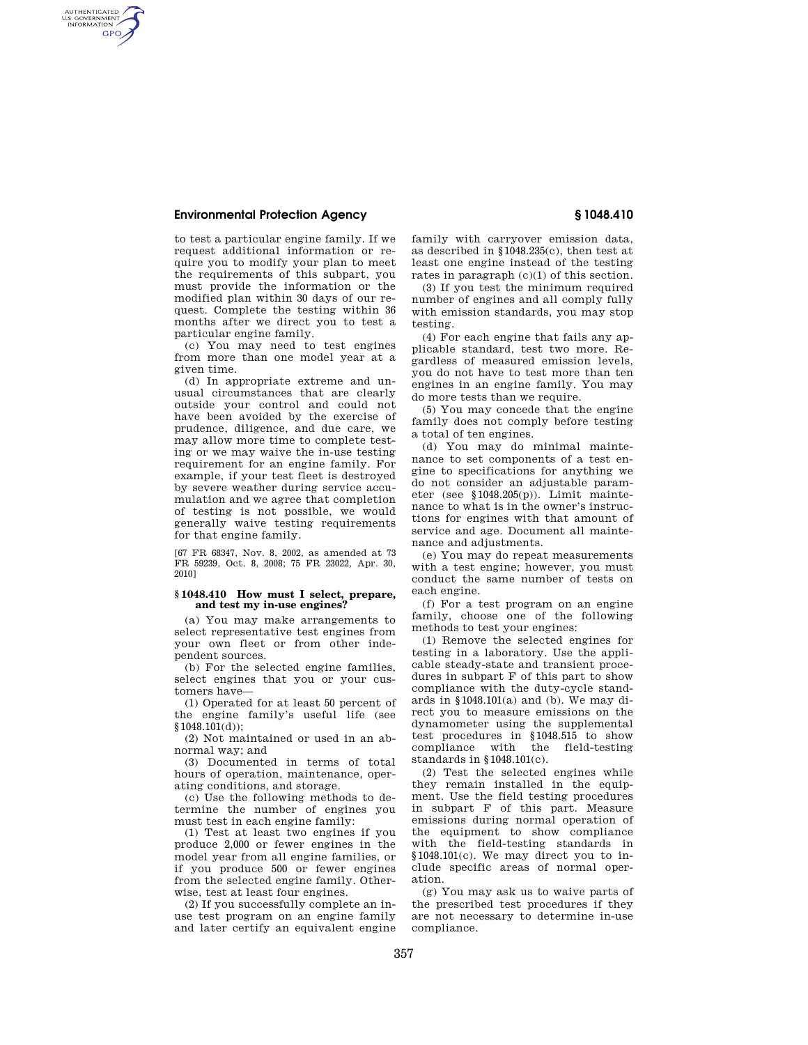## **Environmental Protection Agency § 1048.410**

AUTHENTICATED<br>U.S. GOVERNMENT<br>INFORMATION **GPO** 

> to test a particular engine family. If we request additional information or require you to modify your plan to meet the requirements of this subpart, you must provide the information or the modified plan within 30 days of our request. Complete the testing within 36 months after we direct you to test a particular engine family.

(c) You may need to test engines from more than one model year at a given time.

(d) In appropriate extreme and unusual circumstances that are clearly outside your control and could not have been avoided by the exercise of prudence, diligence, and due care, we may allow more time to complete testing or we may waive the in-use testing requirement for an engine family. For example, if your test fleet is destroyed by severe weather during service accumulation and we agree that completion of testing is not possible, we would generally waive testing requirements for that engine family.

[67 FR 68347, Nov. 8, 2002, as amended at 73 FR 59239, Oct. 8, 2008; 75 FR 23022, Apr. 30, 2010]

### **§ 1048.410 How must I select, prepare, and test my in-use engines?**

(a) You may make arrangements to select representative test engines from your own fleet or from other independent sources.

(b) For the selected engine families, select engines that you or your customers have—

(1) Operated for at least 50 percent of the engine family's useful life (see §1048.101(d));

(2) Not maintained or used in an abnormal way; and

(3) Documented in terms of total hours of operation, maintenance, operating conditions, and storage.

(c) Use the following methods to determine the number of engines you must test in each engine family:

(1) Test at least two engines if you produce 2,000 or fewer engines in the model year from all engine families, or if you produce 500 or fewer engines from the selected engine family. Otherwise, test at least four engines.

(2) If you successfully complete an inuse test program on an engine family and later certify an equivalent engine family with carryover emission data, as described in §1048.235(c), then test at least one engine instead of the testing rates in paragraph (c)(1) of this section.

(3) If you test the minimum required number of engines and all comply fully with emission standards, you may stop testing.

(4) For each engine that fails any applicable standard, test two more. Regardless of measured emission levels, you do not have to test more than ten engines in an engine family. You may do more tests than we require.

(5) You may concede that the engine family does not comply before testing a total of ten engines.

(d) You may do minimal maintenance to set components of a test engine to specifications for anything we do not consider an adjustable parameter (see §1048.205(p)). Limit maintenance to what is in the owner's instructions for engines with that amount of service and age. Document all maintenance and adjustments.

(e) You may do repeat measurements with a test engine; however, you must conduct the same number of tests on each engine.

(f) For a test program on an engine family, choose one of the following methods to test your engines:

(1) Remove the selected engines for testing in a laboratory. Use the applicable steady-state and transient procedures in subpart F of this part to show compliance with the duty-cycle standards in §1048.101(a) and (b). We may direct you to measure emissions on the dynamometer using the supplemental test procedures in §1048.515 to show compliance with the field-testing standards in §1048.101(c).

(2) Test the selected engines while they remain installed in the equipment. Use the field testing procedures in subpart F of this part. Measure emissions during normal operation of the equipment to show compliance with the field-testing standards in §1048.101(c). We may direct you to include specific areas of normal operation.

(g) You may ask us to waive parts of the prescribed test procedures if they are not necessary to determine in-use compliance.